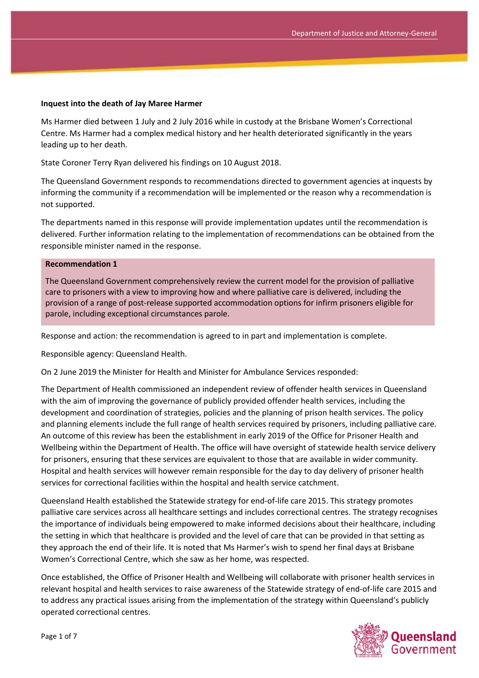#### **Inquest into the death of Jay Maree Harmer**

Ms Harmer died between 1 July and 2 July 2016 while in custody at the Brisbane Women's Correctional Centre. Ms Harmer had a complex medical history and her health deteriorated significantly in the years leading up to her death.

State Coroner Terry Ryan delivered his findings on 10 August 2018.

The Queensland Government responds to recommendations directed to government agencies at inquests by informing the community if a recommendation will be implemented or the reason why a recommendation is not supported.

The departments named in this response will provide implementation updates until the recommendation is delivered. Further information relating to the implementation of recommendations can be obtained from the responsible minister named in the response.

#### **Recommendation 1**

The Queensland Government comprehensively review the current model for the provision of palliative care to prisoners with a view to improving how and where palliative care is delivered, including the provision of a range of post-release supported accommodation options for infirm prisoners eligible for parole, including exceptional circumstances parole.

Response and action: the recommendation is agreed to in part and implementation is complete.

Responsible agency: Queensland Health.

On 2 June 2019 the Minister for Health and Minister for Ambulance Services responded:

The Department of Health commissioned an independent review of offender health services in Queensland with the aim of improving the governance of publicly provided offender health services, including the development and coordination of strategies, policies and the planning of prison health services. The policy and planning elements include the full range of health services required by prisoners, including palliative care. An outcome of this review has been the establishment in early 2019 of the Office for Prisoner Health and Wellbeing within the Department of Health. The office will have oversight of statewide health service delivery for prisoners, ensuring that these services are equivalent to those that are available in wider community. Hospital and health services will however remain responsible for the day to day delivery of prisoner health services for correctional facilities within the hospital and health service catchment.

Queensland Health established the Statewide strategy for end-of-life care 2015. This strategy promotes palliative care services across all healthcare settings and includes correctional centres. The strategy recognises the importance of individuals being empowered to make informed decisions about their healthcare, including the setting in which that healthcare is provided and the level of care that can be provided in that setting as they approach the end of their life. It is noted that Ms Harmer's wish to spend her final days at Brisbane Women's Correctional Centre, which she saw as her home, was respected.

Once established, the Office of Prisoner Health and Wellbeing will collaborate with prisoner health services in relevant hospital and health services to raise awareness of the Statewide strategy of end-of-life care 2015 and to address any practical issues arising from the implementation of the strategy within Queensland's publicly operated correctional centres.

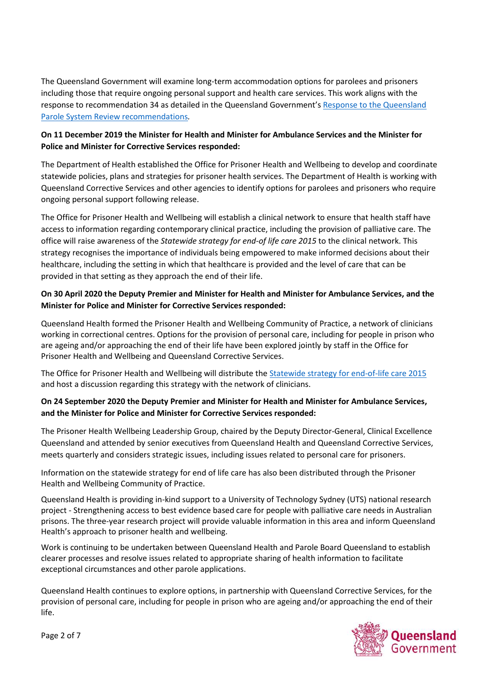The Queensland Government will examine long-term accommodation options for parolees and prisoners including those that require ongoing personal support and health care services. This work aligns with the response to recommendation 34 as detailed in the Queensland Government's Response to the Queensland [Parole System Review recommendations](https://parolereview.premiers.qld.gov.au/)*.*

# **On 11 December 2019 the Minister for Health and Minister for Ambulance Services and the Minister for Police and Minister for Corrective Services responded:**

The Department of Health established the Office for Prisoner Health and Wellbeing to develop and coordinate statewide policies, plans and strategies for prisoner health services. The Department of Health is working with Queensland Corrective Services and other agencies to identify options for parolees and prisoners who require ongoing personal support following release.

The Office for Prisoner Health and Wellbeing will establish a clinical network to ensure that health staff have access to information regarding contemporary clinical practice, including the provision of palliative care. The office will raise awareness of the *Statewide strategy for end-of life care 2015* to the clinical network. This strategy recognises the importance of individuals being empowered to make informed decisions about their healthcare, including the setting in which that healthcare is provided and the level of care that can be provided in that setting as they approach the end of their life.

# **On 30 April 2020 the Deputy Premier and Minister for Health and Minister for Ambulance Services, and the Minister for Police and Minister for Corrective Services responded:**

Queensland Health formed the Prisoner Health and Wellbeing Community of Practice, a network of clinicians working in correctional centres. Options for the provision of personal care, including for people in prison who are ageing and/or approaching the end of their life have been explored jointly by staff in the Office for Prisoner Health and Wellbeing and Queensland Corrective Services.

The Office for Prisoner Health and Wellbeing will distribute the **Statewide strategy for end-of-life care 2015** and host a discussion regarding this strategy with the network of clinicians.

# **On 24 September 2020 the Deputy Premier and Minister for Health and Minister for Ambulance Services, and the Minister for Police and Minister for Corrective Services responded:**

The Prisoner Health Wellbeing Leadership Group, chaired by the Deputy Director-General, Clinical Excellence Queensland and attended by senior executives from Queensland Health and Queensland Corrective Services, meets quarterly and considers strategic issues, including issues related to personal care for prisoners.

Information on the statewide strategy for end of life care has also been distributed through the Prisoner Health and Wellbeing Community of Practice.

Queensland Health is providing in-kind support to a University of Technology Sydney (UTS) national research project - Strengthening access to best evidence based care for people with palliative care needs in Australian prisons. The three-year research project will provide valuable information in this area and inform Queensland Health's approach to prisoner health and wellbeing.

Work is continuing to be undertaken between Queensland Health and Parole Board Queensland to establish clearer processes and resolve issues related to appropriate sharing of health information to facilitate exceptional circumstances and other parole applications.

Queensland Health continues to explore options, in partnership with Queensland Corrective Services, for the provision of personal care, including for people in prison who are ageing and/or approaching the end of their life.

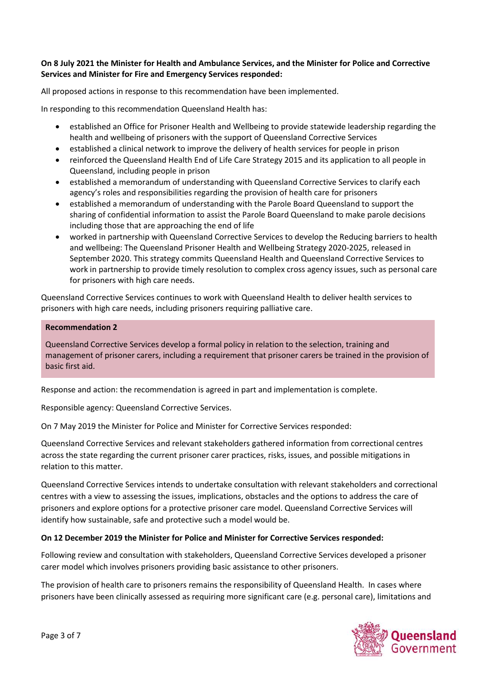### **On 8 July 2021 the Minister for Health and Ambulance Services, and the Minister for Police and Corrective Services and Minister for Fire and Emergency Services responded:**

All proposed actions in response to this recommendation have been implemented.

In responding to this recommendation Queensland Health has:

- established an Office for Prisoner Health and Wellbeing to provide statewide leadership regarding the health and wellbeing of prisoners with the support of Queensland Corrective Services
- established a clinical network to improve the delivery of health services for people in prison
- reinforced the Queensland Health End of Life Care Strategy 2015 and its application to all people in Queensland, including people in prison
- established a memorandum of understanding with Queensland Corrective Services to clarify each agency's roles and responsibilities regarding the provision of health care for prisoners
- established a memorandum of understanding with the Parole Board Queensland to support the sharing of confidential information to assist the Parole Board Queensland to make parole decisions including those that are approaching the end of life
- worked in partnership with Queensland Corrective Services to develop the Reducing barriers to health and wellbeing: The Queensland Prisoner Health and Wellbeing Strategy 2020-2025, released in September 2020. This strategy commits Queensland Health and Queensland Corrective Services to work in partnership to provide timely resolution to complex cross agency issues, such as personal care for prisoners with high care needs.

Queensland Corrective Services continues to work with Queensland Health to deliver health services to prisoners with high care needs, including prisoners requiring palliative care.

#### **Recommendation 2**

Queensland Corrective Services develop a formal policy in relation to the selection, training and management of prisoner carers, including a requirement that prisoner carers be trained in the provision of basic first aid.

Response and action: the recommendation is agreed in part and implementation is complete.

Responsible agency: Queensland Corrective Services.

On 7 May 2019 the Minister for Police and Minister for Corrective Services responded:

Queensland Corrective Services and relevant stakeholders gathered information from correctional centres across the state regarding the current prisoner carer practices, risks, issues, and possible mitigations in relation to this matter.

Queensland Corrective Services intends to undertake consultation with relevant stakeholders and correctional centres with a view to assessing the issues, implications, obstacles and the options to address the care of prisoners and explore options for a protective prisoner care model. Queensland Corrective Services will identify how sustainable, safe and protective such a model would be.

### **On 12 December 2019 the Minister for Police and Minister for Corrective Services responded:**

Following review and consultation with stakeholders, Queensland Corrective Services developed a prisoner carer model which involves prisoners providing basic assistance to other prisoners.

The provision of health care to prisoners remains the responsibility of Queensland Health. In cases where prisoners have been clinically assessed as requiring more significant care (e.g. personal care), limitations and

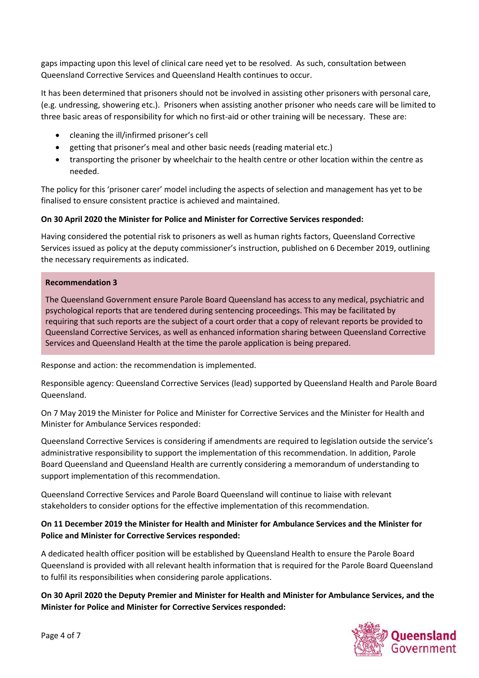gaps impacting upon this level of clinical care need yet to be resolved. As such, consultation between Queensland Corrective Services and Queensland Health continues to occur.

It has been determined that prisoners should not be involved in assisting other prisoners with personal care, (e.g. undressing, showering etc.). Prisoners when assisting another prisoner who needs care will be limited to three basic areas of responsibility for which no first-aid or other training will be necessary. These are:

- cleaning the ill/infirmed prisoner's cell
- getting that prisoner's meal and other basic needs (reading material etc.)
- transporting the prisoner by wheelchair to the health centre or other location within the centre as needed.

The policy for this 'prisoner carer' model including the aspects of selection and management has yet to be finalised to ensure consistent practice is achieved and maintained.

# **On 30 April 2020 the Minister for Police and Minister for Corrective Services responded:**

Having considered the potential risk to prisoners as well as human rights factors, Queensland Corrective Services issued as policy at the deputy commissioner's instruction, published on 6 December 2019, outlining the necessary requirements as indicated.

### **Recommendation 3**

The Queensland Government ensure Parole Board Queensland has access to any medical, psychiatric and psychological reports that are tendered during sentencing proceedings. This may be facilitated by requiring that such reports are the subject of a court order that a copy of relevant reports be provided to Queensland Corrective Services, as well as enhanced information sharing between Queensland Corrective Services and Queensland Health at the time the parole application is being prepared.

Response and action: the recommendation is implemented.

Responsible agency: Queensland Corrective Services (lead) supported by Queensland Health and Parole Board Queensland.

On 7 May 2019 the Minister for Police and Minister for Corrective Services and the Minister for Health and Minister for Ambulance Services responded:

Queensland Corrective Services is considering if amendments are required to legislation outside the service's administrative responsibility to support the implementation of this recommendation. In addition, Parole Board Queensland and Queensland Health are currently considering a memorandum of understanding to support implementation of this recommendation.

Queensland Corrective Services and Parole Board Queensland will continue to liaise with relevant stakeholders to consider options for the effective implementation of this recommendation.

# **On 11 December 2019 the Minister for Health and Minister for Ambulance Services and the Minister for Police and Minister for Corrective Services responded:**

A dedicated health officer position will be established by Queensland Health to ensure the Parole Board Queensland is provided with all relevant health information that is required for the Parole Board Queensland to fulfil its responsibilities when considering parole applications.

**On 30 April 2020 the Deputy Premier and Minister for Health and Minister for Ambulance Services, and the Minister for Police and Minister for Corrective Services responded:**

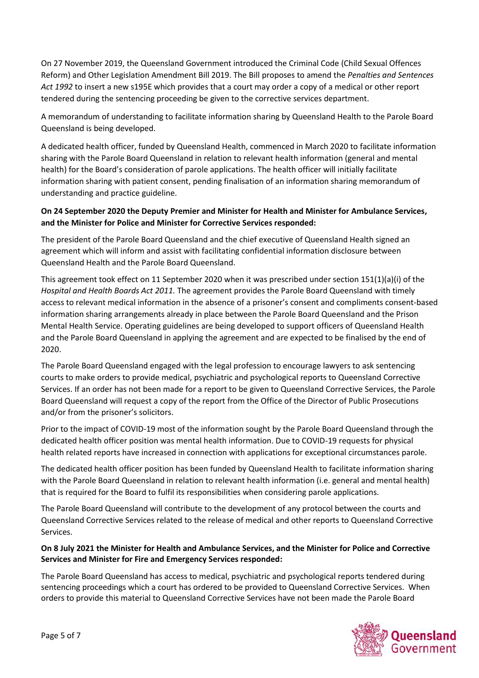On 27 November 2019, the Queensland Government introduced the Criminal Code (Child Sexual Offences Reform) and Other Legislation Amendment Bill 2019. The Bill proposes to amend the *Penalties and Sentences Act 1992* to insert a new s195E which provides that a court may order a copy of a medical or other report tendered during the sentencing proceeding be given to the corrective services department.

A memorandum of understanding to facilitate information sharing by Queensland Health to the Parole Board Queensland is being developed.

A dedicated health officer, funded by Queensland Health, commenced in March 2020 to facilitate information sharing with the Parole Board Queensland in relation to relevant health information (general and mental health) for the Board's consideration of parole applications. The health officer will initially facilitate information sharing with patient consent, pending finalisation of an information sharing memorandum of understanding and practice guideline.

# **On 24 September 2020 the Deputy Premier and Minister for Health and Minister for Ambulance Services, and the Minister for Police and Minister for Corrective Services responded:**

The president of the Parole Board Queensland and the chief executive of Queensland Health signed an agreement which will inform and assist with facilitating confidential information disclosure between Queensland Health and the Parole Board Queensland.

This agreement took effect on 11 September 2020 when it was prescribed under section 151(1)(a)(i) of the *Hospital and Health Boards Act 2011.* The agreement provides the Parole Board Queensland with timely access to relevant medical information in the absence of a prisoner's consent and compliments consent-based information sharing arrangements already in place between the Parole Board Queensland and the Prison Mental Health Service. Operating guidelines are being developed to support officers of Queensland Health and the Parole Board Queensland in applying the agreement and are expected to be finalised by the end of 2020.

The Parole Board Queensland engaged with the legal profession to encourage lawyers to ask sentencing courts to make orders to provide medical, psychiatric and psychological reports to Queensland Corrective Services. If an order has not been made for a report to be given to Queensland Corrective Services, the Parole Board Queensland will request a copy of the report from the Office of the Director of Public Prosecutions and/or from the prisoner's solicitors.

Prior to the impact of COVID-19 most of the information sought by the Parole Board Queensland through the dedicated health officer position was mental health information. Due to COVID-19 requests for physical health related reports have increased in connection with applications for exceptional circumstances parole.

The dedicated health officer position has been funded by Queensland Health to facilitate information sharing with the Parole Board Queensland in relation to relevant health information (i.e. general and mental health) that is required for the Board to fulfil its responsibilities when considering parole applications.

The Parole Board Queensland will contribute to the development of any protocol between the courts and Queensland Corrective Services related to the release of medical and other reports to Queensland Corrective Services.

# **On 8 July 2021 the Minister for Health and Ambulance Services, and the Minister for Police and Corrective Services and Minister for Fire and Emergency Services responded:**

The Parole Board Queensland has access to medical, psychiatric and psychological reports tendered during sentencing proceedings which a court has ordered to be provided to Queensland Corrective Services. When orders to provide this material to Queensland Corrective Services have not been made the Parole Board

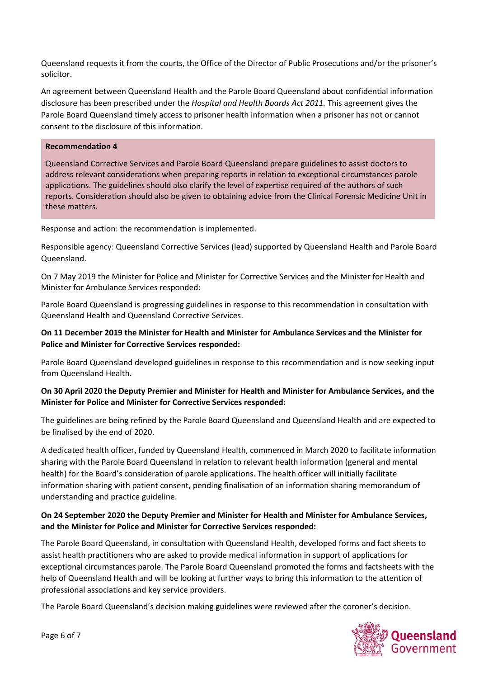Queensland requests it from the courts, the Office of the Director of Public Prosecutions and/or the prisoner's solicitor.

An agreement between Queensland Health and the Parole Board Queensland about confidential information disclosure has been prescribed under the *Hospital and Health Boards Act 2011.* This agreement gives the Parole Board Queensland timely access to prisoner health information when a prisoner has not or cannot consent to the disclosure of this information.

### **Recommendation 4**

Queensland Corrective Services and Parole Board Queensland prepare guidelines to assist doctors to address relevant considerations when preparing reports in relation to exceptional circumstances parole applications. The guidelines should also clarify the level of expertise required of the authors of such reports. Consideration should also be given to obtaining advice from the Clinical Forensic Medicine Unit in these matters.

Response and action: the recommendation is implemented.

Responsible agency: Queensland Corrective Services (lead) supported by Queensland Health and Parole Board Queensland.

On 7 May 2019 the Minister for Police and Minister for Corrective Services and the Minister for Health and Minister for Ambulance Services responded:

Parole Board Queensland is progressing guidelines in response to this recommendation in consultation with Queensland Health and Queensland Corrective Services.

# **On 11 December 2019 the Minister for Health and Minister for Ambulance Services and the Minister for Police and Minister for Corrective Services responded:**

Parole Board Queensland developed guidelines in response to this recommendation and is now seeking input from Queensland Health.

### **On 30 April 2020 the Deputy Premier and Minister for Health and Minister for Ambulance Services, and the Minister for Police and Minister for Corrective Services responded:**

The guidelines are being refined by the Parole Board Queensland and Queensland Health and are expected to be finalised by the end of 2020.

A dedicated health officer, funded by Queensland Health, commenced in March 2020 to facilitate information sharing with the Parole Board Queensland in relation to relevant health information (general and mental health) for the Board's consideration of parole applications. The health officer will initially facilitate information sharing with patient consent, pending finalisation of an information sharing memorandum of understanding and practice guideline.

# **On 24 September 2020 the Deputy Premier and Minister for Health and Minister for Ambulance Services, and the Minister for Police and Minister for Corrective Services responded:**

The Parole Board Queensland, in consultation with Queensland Health, developed forms and fact sheets to assist health practitioners who are asked to provide medical information in support of applications for exceptional circumstances parole. The Parole Board Queensland promoted the forms and factsheets with the help of Queensland Health and will be looking at further ways to bring this information to the attention of professional associations and key service providers.

The Parole Board Queensland's decision making guidelines were reviewed after the coroner's decision.